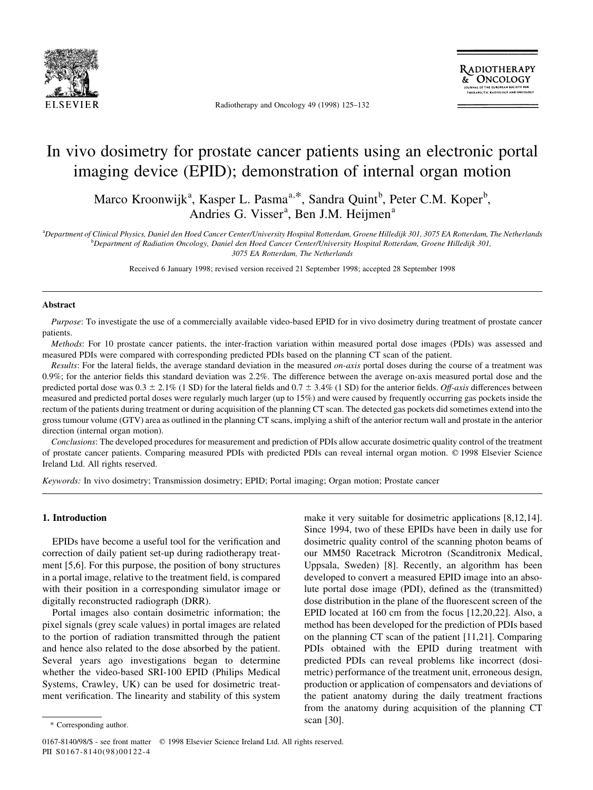

Radiotherapy and Oncology 49 (1998) 125-132

# In vivo dosimetry for prostate cancer patients using an electronic portal imaging device (EPID); demonstration of internal organ motion

Marco Kroonwijk<sup>a</sup>, Kasper L. Pasma<sup>a,\*</sup>, Sandra Quint<sup>b</sup>, Peter C.M. Koper<sup>b</sup>, Andries G. Visser<sup>a</sup>, Ben J.M. Heijmen<sup>a</sup>

a Department of Clinical Physics, Daniel den Hoed Cancer Center/University Hospital Rotterdam, Groene Hilledijk 301, 3075 EA Rotterdam, The Netherlands b Department of Radiation Oncology, Daniel den Hoed Cancer Center/University Hospital Rotterdam, Groene Hilledijk 301,

3075 EA Rotterdam, The Netherlands

Received 6 January 1998; revised version received 21 September 1998; accepted 28 September 1998

## Abstract

Purpose: To investigate the use of a commercially available video-based EPID for in vivo dosimetry during treatment of prostate cancer patients.

Methods: For 10 prostate cancer patients, the inter-fraction variation within measured portal dose images (PDIs) was assessed and measured PDIs were compared with corresponding predicted PDIs based on the planning CT scan of the patient.

Results: For the lateral fields, the average standard deviation in the measured *on-axis* portal doses during the course of a treatment was  $0.9\%$ ; for the anterior fields this standard deviation was  $2.2\%$ . The difference between the average on-axis measured portal dose and the predicted portal dose was  $0.3 \pm 2.1\%$  (1 SD) for the lateral fields and  $0.7 \pm 3.4\%$  (1 SD) for the anterior fields. Off-axis differences between measured and predicted portal doses were regularly much larger (up to 15%) and were caused by frequently occurring gas pockets inside the rectum of the patients during treatment or during acquisition of the planning CT scan. The detected gas pockets did sometimes extend into the gross tumour volume (GTV) area as outlined in the planning CT scans, implying a shift of the anterior rectum wall and prostate in the anterior direction (internal organ motion).

Conclusions: The developed procedures for measurement and prediction of PDIs allow accurate dosimetric quality control of the treatment of prostate cancer patients. Comparing measured PDIs with predicted PDIs can reveal internal organ motion. © 1998 Elsevier Science Ireland Ltd. All rights reserved.

Keywords: In vivo dosimetry; Transmission dosimetry; EPID; Portal imaging; Organ motion; Prostate cancer

## 1. Introduction

EPIDs have become a useful tool for the verification and correction of daily patient set-up during radiotherapy treatment [5,6]. For this purpose, the position of bony structures in a portal image, relative to the treatment field, is compared with their position in a corresponding simulator image or digitally reconstructed radiograph (DRR).

Portal images also contain dosimetric information; the pixel signals (grey scale values) in portal images are related to the portion of radiation transmitted through the patient and hence also related to the dose absorbed by the patient. Several years ago investigations began to determine whether the video-based SRI-100 EPID (Philips Medical Systems, Crawley, UK) can be used for dosimetric treatment verification. The linearity and stability of this system make it very suitable for dosimetric applications [8,12,14]. Since 1994, two of these EPIDs have been in daily use for dosimetric quality control of the scanning photon beams of our MM50 Racetrack Microtron (Scanditronix Medical, Uppsala, Sweden) [8]. Recently, an algorithm has been developed to convert a measured EPID image into an absolute portal dose image (PDI), defined as the (transmitted) dose distribution in the plane of the fluorescent screen of the EPID located at 160 cm from the focus [12,20,22]. Also, a method has been developed for the prediction of PDIs based on the planning CT scan of the patient [11,21]. Comparing PDIs obtained with the EPID during treatment with predicted PDIs can reveal problems like incorrect (dosimetric) performance of the treatment unit, erroneous design, production or application of compensators and deviations of the patient anatomy during the daily treatment fractions from the anatomy during acquisition of the planning CT scan [30].

<sup>\*</sup> Corresponding author.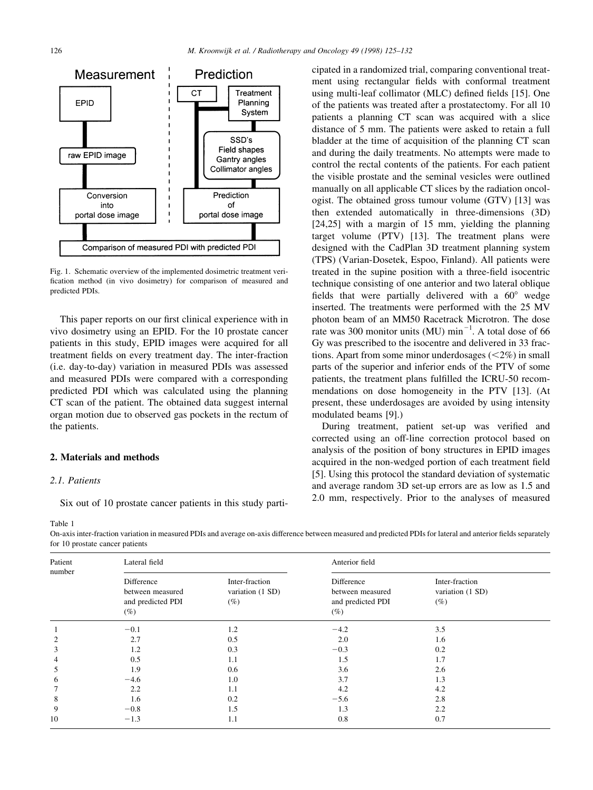

Fig. 1. Schematic overview of the implemented dosimetric treatment veri fication method (in vivo dosimetry) for comparison of measured and predicted PDIs.

This paper reports on our first clinical experience with in vivo dosimetry using an EPID. For the 10 prostate cancer patients in this study, EPID images were acquired for all treatment fields on every treatment day. The inter-fraction (i.e. day-to-day) variation in measured PDIs was assessed and measured PDIs were compared with a corresponding predicted PDI which was calculated using the planning CT scan of the patient. The obtained data suggest internal organ motion due to observed gas pockets in the rectum of the patients.

#### 2. Materials and methods

# 2.1. Patients

Table 1

Six out of 10 prostate cancer patients in this study parti-

cipated in a randomized trial, comparing conventional treatment using rectangular fields with conformal treatment using multi-leaf collimator (MLC) defined fields [15]. One of the patients was treated after a prostatectomy. For all 10 patients a planning CT scan was acquired with a slice distance of 5 mm. The patients were asked to retain a full bladder at the time of acquisition of the planning CT scan and during the daily treatments. No attempts were made to control the rectal contents of the patients. For each patient the visible prostate and the seminal vesicles were outlined manually on all applicable CT slices by the radiation oncologist. The obtained gross tumour volume (GTV) [13] was then extended automatically in three-dimensions (3D) [24,25] with a margin of 15 mm, yielding the planning target volume (PTV) [13]. The treatment plans were designed with the CadPlan 3D treatment planning system (TPS) (Varian-Dosetek, Espoo, Finland). All patients were treated in the supine position with a three-field isocentric technique consisting of one anterior and two lateral oblique fields that were partially delivered with a  $60^\circ$  wedge inserted. The treatments were performed with the 25 MV photon beam of an MM50 Racetrack Microtron. The dose rate was 300 monitor units (MU)  $\text{min}^{-1}$ . A total dose of 66 Gy was prescribed to the isocentre and delivered in 33 fractions. Apart from some minor underdosages  $(<2\%)$  in small parts of the superior and inferior ends of the PTV of some patients, the treatment plans fulfilled the ICRU-50 recommendations on dose homogeneity in the PTV [13]. (At present, these underdosages are avoided by using intensity modulated beams [9].)

During treatment, patient set-up was verified and corrected using an off-line correction protocol based on analysis of the position of bony structures in EPID images acquired in the non-wedged portion of each treatment field [5]. Using this protocol the standard deviation of systematic and average random 3D set-up errors are as low as 1.5 and 2.0 mm, respectively. Prior to the analyses of measured

On-axis inter-fraction variation in measured PDIs and average on-axis difference between measured and predicted PDIs for lateral and anterior fields separately for 10 prostate cancer patients

| Patient<br>number | Lateral field                                                 |                                              | Anterior field                                                |                                              |  |
|-------------------|---------------------------------------------------------------|----------------------------------------------|---------------------------------------------------------------|----------------------------------------------|--|
|                   | Difference<br>between measured<br>and predicted PDI<br>$(\%)$ | Inter-fraction<br>variation (1 SD)<br>$(\%)$ | Difference<br>between measured<br>and predicted PDI<br>$(\%)$ | Inter-fraction<br>variation (1 SD)<br>$(\%)$ |  |
|                   | $-0.1$                                                        | 1.2                                          | $-4.2$                                                        | 3.5                                          |  |
| $\overline{c}$    | 2.7                                                           | 0.5                                          | 2.0                                                           | 1.6                                          |  |
| 3                 | 1.2                                                           | 0.3                                          | $-0.3$                                                        | 0.2                                          |  |
| 4                 | 0.5                                                           | 1.1                                          | 1.5                                                           | 1.7                                          |  |
| 5                 | 1.9                                                           | 0.6                                          | 3.6                                                           | 2.6                                          |  |
| 6                 | $-4.6$                                                        | 1.0                                          | 3.7                                                           | 1.3                                          |  |
| 7                 | 2.2                                                           | 1.1                                          | 4.2                                                           | 4.2                                          |  |
| 8                 | 1.6                                                           | 0.2                                          | $-5.6$                                                        | 2.8                                          |  |
| 9                 | $-0.8$                                                        | 1.5                                          | 1.3                                                           | 2.2                                          |  |
| 10                | $-1.3$                                                        | 1.1                                          | 0.8                                                           | 0.7                                          |  |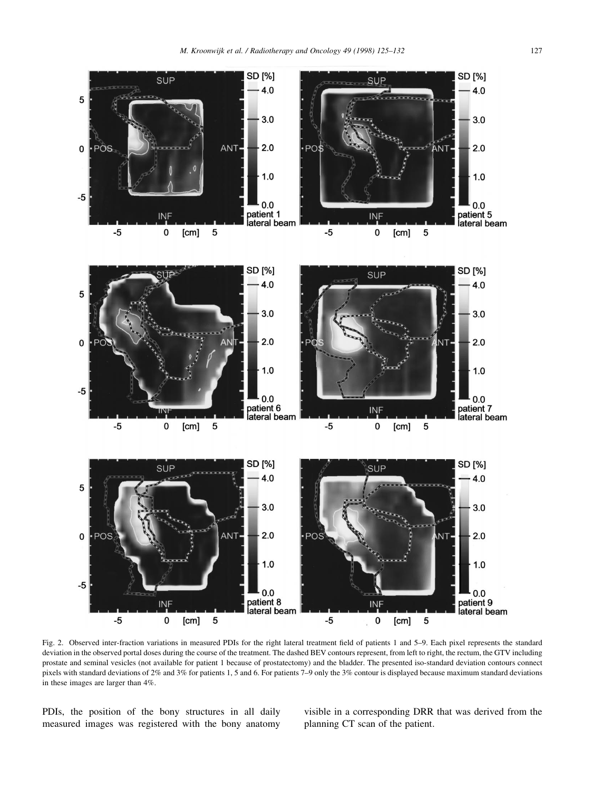

Fig. 2. Observed inter-fraction variations in measured PDIs for the right lateral treatment field of patients 1 and 5-9. Each pixel represents the standard deviation in the observed portal doses during the course of the treatment. The dashed BEV contours represent, from left to right, the rectum, the GTV including prostate and seminal vesicles (not available for patient 1 because of prostatectomy) and the bladder. The presented iso-standard deviation contours connect pixels with standard deviations of 2% and 3% for patients 1, 5 and 6. For patients 7-9 only the 3% contour is displayed because maximum standard deviations in these images are larger than 4%.

PDIs, the position of the bony structures in all daily measured images was registered with the bony anatomy visible in a corresponding DRR that was derived from the planning CT scan of the patient.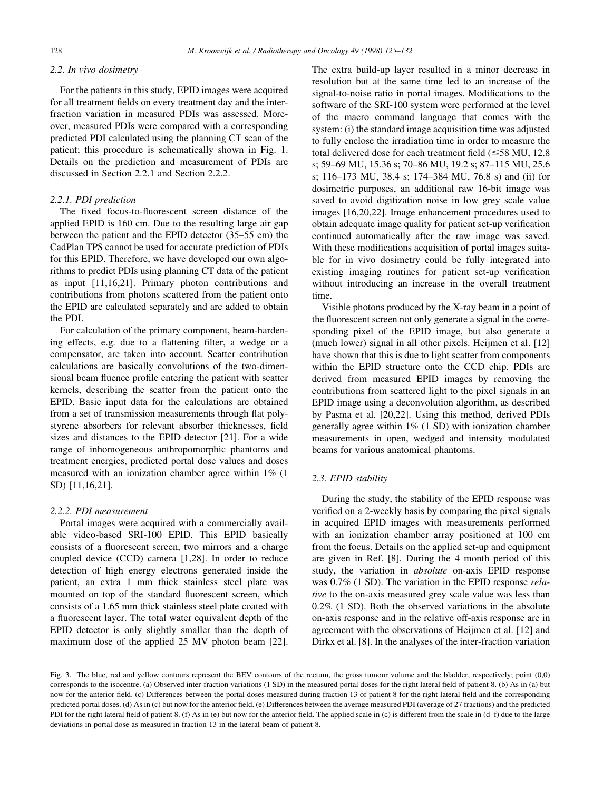#### 2.2. In vivo dosimetry

For the patients in this study, EPID images were acquired for all treatment fields on every treatment day and the interfraction variation in measured PDIs was assessed. Moreover, measured PDIs were compared with a corresponding predicted PDI calculated using the planning CT scan of the patient; this procedure is schematically shown in Fig. 1. Details on the prediction and measurement of PDIs are discussed in Section 2.2.1 and Section 2.2.2.

## 2.2.1. PDI prediction

The fixed focus-to-fluorescent screen distance of the applied EPID is 160 cm. Due to the resulting large air gap between the patient and the EPID detector  $(35-55 \text{ cm})$  the CadPlan TPS cannot be used for accurate prediction of PDIs for this EPID. Therefore, we have developed our own algorithms to predict PDIs using planning CT data of the patient as input [11,16,21]. Primary photon contributions and contributions from photons scattered from the patient onto the EPID are calculated separately and are added to obtain the PDI.

For calculation of the primary component, beam-hardening effects, e.g. due to a flattening filter, a wedge or a compensator, are taken into account. Scatter contribution calculations are basically convolutions of the two-dimensional beam fluence profile entering the patient with scatter kernels, describing the scatter from the patient onto the EPID. Basic input data for the calculations are obtained from a set of transmission measurements through flat polystyrene absorbers for relevant absorber thicknesses, field sizes and distances to the EPID detector [21]. For a wide range of inhomogeneous anthropomorphic phantoms and treatment energies, predicted portal dose values and doses measured with an ionization chamber agree within 1% (1 SD) [11,16,21].

## 2.2.2. PDI measurement

Portal images were acquired with a commercially available video-based SRI-100 EPID. This EPID basically consists of a fluorescent screen, two mirrors and a charge coupled device (CCD) camera [1,28]. In order to reduce detection of high energy electrons generated inside the patient, an extra 1 mm thick stainless steel plate was mounted on top of the standard fluorescent screen, which consists of a 1.65 mm thick stainless steel plate coated with a fluorescent layer. The total water equivalent depth of the EPID detector is only slightly smaller than the depth of maximum dose of the applied 25 MV photon beam [22].

The extra build-up layer resulted in a minor decrease in resolution but at the same time led to an increase of the signal-to-noise ratio in portal images. Modifications to the software of the SRI-100 system were performed at the level of the macro command language that comes with the system: (i) the standard image acquisition time was adjusted to fully enclose the irradiation time in order to measure the total delivered dose for each treatment field ( $\leq$ 58 MU, 12.8) s; 59–69 MU, 15.36 s; 70–86 MU, 19.2 s; 87–115 MU, 25.6 s; 116-173 MU, 38.4 s; 174-384 MU, 76.8 s) and (ii) for dosimetric purposes, an additional raw 16-bit image was saved to avoid digitization noise in low grey scale value images [16,20,22]. Image enhancement procedures used to obtain adequate image quality for patient set-up verification continued automatically after the raw image was saved. With these modifications acquisition of portal images suitable for in vivo dosimetry could be fully integrated into existing imaging routines for patient set-up verification without introducing an increase in the overall treatment time.

Visible photons produced by the X-ray beam in a point of the fluorescent screen not only generate a signal in the corresponding pixel of the EPID image, but also generate a (much lower) signal in all other pixels. Heijmen et al. [12] have shown that this is due to light scatter from components within the EPID structure onto the CCD chip. PDIs are derived from measured EPID images by removing the contributions from scattered light to the pixel signals in an EPID image using a deconvolution algorithm, as described by Pasma et al. [20,22]. Using this method, derived PDIs generally agree within 1% (1 SD) with ionization chamber measurements in open, wedged and intensity modulated beams for various anatomical phantoms.

# 2.3. EPID stability

During the study, the stability of the EPID response was verified on a 2-weekly basis by comparing the pixel signals in acquired EPID images with measurements performed with an ionization chamber array positioned at 100 cm from the focus. Details on the applied set-up and equipment are given in Ref. [8]. During the 4 month period of this study, the variation in absolute on-axis EPID response was 0.7% (1 SD). The variation in the EPID response relative to the on-axis measured grey scale value was less than 0.2% (1 SD). Both the observed variations in the absolute on-axis response and in the relative off-axis response are in agreement with the observations of Heijmen et al. [12] and Dirkx et al. [8]. In the analyses of the inter-fraction variation

Fig. 3. The blue, red and yellow contours represent the BEV contours of the rectum, the gross tumour volume and the bladder, respectively; point (0,0) corresponds to the isocentre. (a) Observed inter-fraction variations  $(1 S D)$  in the measured portal doses for the right lateral field of patient 8. (b) As in (a) but now for the anterior field. (c) Differences between the portal doses measured during fraction 13 of patient 8 for the right lateral field and the corresponding predicted portal doses. (d) As in (c) but now for the anterior field. (e) Differences between the average measured PDI (average of 27 fractions) and the predicted PDI for the right lateral field of patient 8. (f) As in (e) but now for the anterior field. The applied scale in (c) is different from the scale in (d-f) due to the large deviations in portal dose as measured in fraction 13 in the lateral beam of patient 8.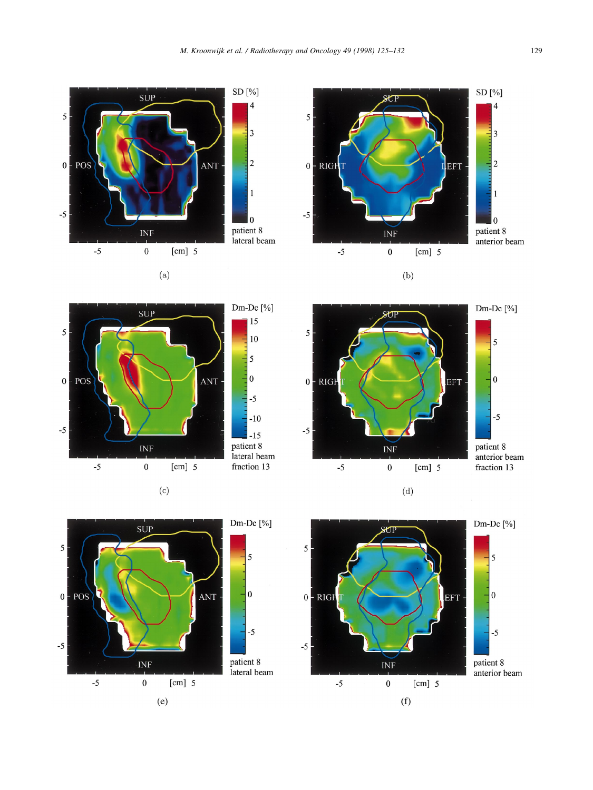

 $(a)$ 











5

 $-5$ 









 $(d)$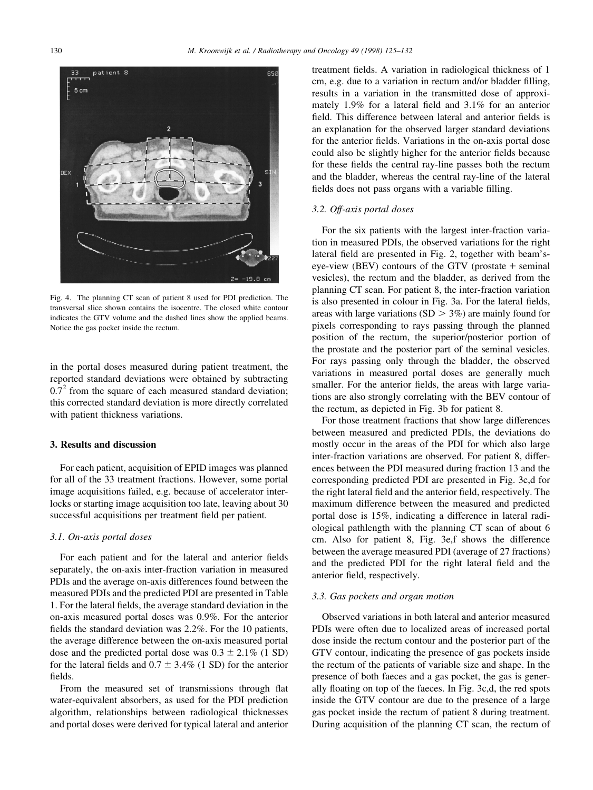

Fig. 4. The planning CT scan of patient 8 used for PDI prediction. The transversal slice shown contains the isocentre. The closed white contour indicates the GTV volume and the dashed lines show the applied beams. Notice the gas pocket inside the rectum.

in the portal doses measured during patient treatment, the reported standard deviations were obtained by subtracting  $0.7<sup>2</sup>$  from the square of each measured standard deviation; this corrected standard deviation is more directly correlated with patient thickness variations.

# 3. Results and discussion

For each patient, acquisition of EPID images was planned for all of the 33 treatment fractions. However, some portal image acquisitions failed, e.g. because of accelerator interlocks or starting image acquisition too late, leaving about 30 successful acquisitions per treatment field per patient.

# 3.1. On-axis portal doses

For each patient and for the lateral and anterior fields separately, the on-axis inter-fraction variation in measured PDIs and the average on-axis differences found between the measured PDIs and the predicted PDI are presented in Table 1. For the lateral fields, the average standard deviation in the on-axis measured portal doses was 0.9%. For the anterior fields the standard deviation was  $2.2\%$ . For the 10 patients, the average difference between the on-axis measured portal dose and the predicted portal dose was  $0.3 \pm 2.1\%$  (1 SD) for the lateral fields and  $0.7 \pm 3.4\%$  (1 SD) for the anterior fields.

From the measured set of transmissions through flat water-equivalent absorbers, as used for the PDI prediction algorithm, relationships between radiological thicknesses and portal doses were derived for typical lateral and anterior

treatment fields. A variation in radiological thickness of 1 cm, e.g. due to a variation in rectum and/or bladder filling, results in a variation in the transmitted dose of approximately 1.9% for a lateral field and  $3.1\%$  for an anterior field. This difference between lateral and anterior fields is an explanation for the observed larger standard deviations for the anterior fields. Variations in the on-axis portal dose could also be slightly higher for the anterior fields because for these fields the central ray-line passes both the rectum and the bladder, whereas the central ray-line of the lateral fields does not pass organs with a variable filling.

#### 3.2. Off-axis portal doses

For the six patients with the largest inter-fraction variation in measured PDIs, the observed variations for the right lateral field are presented in Fig. 2, together with beam'seye-view (BEV) contours of the GTV (prostate  $+$  seminal vesicles), the rectum and the bladder, as derived from the planning CT scan. For patient 8, the inter-fraction variation is also presented in colour in Fig. 3a. For the lateral fields, areas with large variations  $(SD > 3\%)$  are mainly found for pixels corresponding to rays passing through the planned position of the rectum, the superior/posterior portion of the prostate and the posterior part of the seminal vesicles. For rays passing only through the bladder, the observed variations in measured portal doses are generally much smaller. For the anterior fields, the areas with large variations are also strongly correlating with the BEV contour of the rectum, as depicted in Fig. 3b for patient 8.

For those treatment fractions that show large differences between measured and predicted PDIs, the deviations do mostly occur in the areas of the PDI for which also large inter-fraction variations are observed. For patient 8, differences between the PDI measured during fraction 13 and the corresponding predicted PDI are presented in Fig. 3c,d for the right lateral field and the anterior field, respectively. The maximum difference between the measured and predicted portal dose is 15%, indicating a difference in lateral radiological pathlength with the planning CT scan of about 6 cm. Also for patient 8, Fig. 3e,f shows the difference between the average measured PDI (average of 27 fractions) and the predicted PDI for the right lateral field and the anterior field, respectively.

#### 3.3. Gas pockets and organ motion

Observed variations in both lateral and anterior measured PDIs were often due to localized areas of increased portal dose inside the rectum contour and the posterior part of the GTV contour, indicating the presence of gas pockets inside the rectum of the patients of variable size and shape. In the presence of both faeces and a gas pocket, the gas is generally floating on top of the faeces. In Fig. 3c,d, the red spots inside the GTV contour are due to the presence of a large gas pocket inside the rectum of patient 8 during treatment. During acquisition of the planning CT scan, the rectum of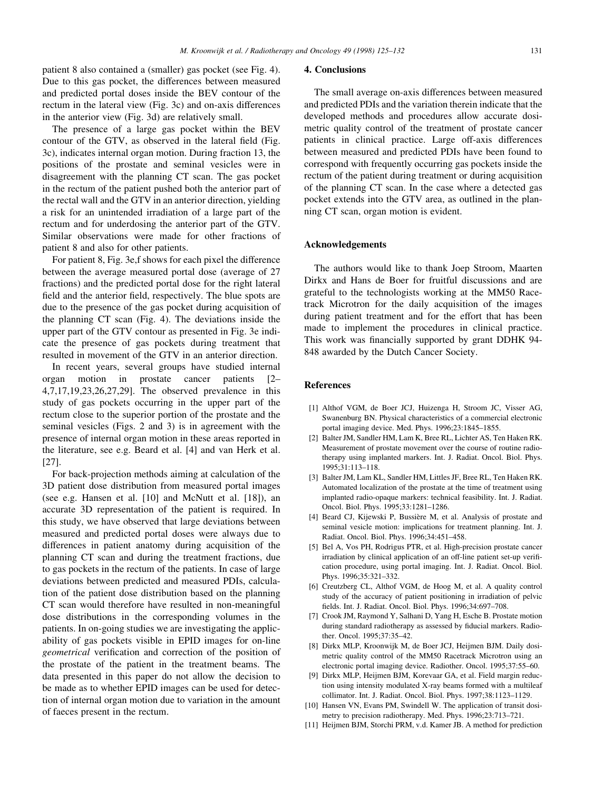patient 8 also contained a (smaller) gas pocket (see Fig. 4). Due to this gas pocket, the differences between measured and predicted portal doses inside the BEV contour of the rectum in the lateral view (Fig. 3c) and on-axis differences in the anterior view (Fig. 3d) are relatively small.

The presence of a large gas pocket within the BEV contour of the GTV, as observed in the lateral field (Fig. 3c), indicates internal organ motion. During fraction 13, the positions of the prostate and seminal vesicles were in disagreement with the planning CT scan. The gas pocket in the rectum of the patient pushed both the anterior part of the rectal wall and the GTV in an anterior direction, yielding a risk for an unintended irradiation of a large part of the rectum and for underdosing the anterior part of the GTV. Similar observations were made for other fractions of patient 8 and also for other patients.

For patient 8, Fig. 3e,f shows for each pixel the difference between the average measured portal dose (average of 27 fractions) and the predicted portal dose for the right lateral field and the anterior field, respectively. The blue spots are due to the presence of the gas pocket during acquisition of the planning CT scan (Fig. 4). The deviations inside the upper part of the GTV contour as presented in Fig. 3e indicate the presence of gas pockets during treatment that resulted in movement of the GTV in an anterior direction.

In recent years, several groups have studied internal organ motion in prostate cancer patients [2– 4,7,17,19,23,26,27,29]. The observed prevalence in this study of gas pockets occurring in the upper part of the rectum close to the superior portion of the prostate and the seminal vesicles (Figs. 2 and 3) is in agreement with the presence of internal organ motion in these areas reported in the literature, see e.g. Beard et al. [4] and van Herk et al. [27].

For back-projection methods aiming at calculation of the 3D patient dose distribution from measured portal images (see e.g. Hansen et al. [10] and McNutt et al. [18]), an accurate 3D representation of the patient is required. In this study, we have observed that large deviations between measured and predicted portal doses were always due to differences in patient anatomy during acquisition of the planning CT scan and during the treatment fractions, due to gas pockets in the rectum of the patients. In case of large deviations between predicted and measured PDIs, calculation of the patient dose distribution based on the planning CT scan would therefore have resulted in non-meaningful dose distributions in the corresponding volumes in the patients. In on-going studies we are investigating the applicability of gas pockets visible in EPID images for on-line geometrical verification and correction of the position of the prostate of the patient in the treatment beams. The data presented in this paper do not allow the decision to be made as to whether EPID images can be used for detection of internal organ motion due to variation in the amount of faeces present in the rectum.

#### 4. Conclusions

The small average on-axis differences between measured and predicted PDIs and the variation therein indicate that the developed methods and procedures allow accurate dosimetric quality control of the treatment of prostate cancer patients in clinical practice. Large off-axis differences between measured and predicted PDIs have been found to correspond with frequently occurring gas pockets inside the rectum of the patient during treatment or during acquisition of the planning CT scan. In the case where a detected gas pocket extends into the GTV area, as outlined in the planning CT scan, organ motion is evident.

# Acknowledgements

The authors would like to thank Joep Stroom, Maarten Dirkx and Hans de Boer for fruitful discussions and are grateful to the technologists working at the MM50 Racetrack Microtron for the daily acquisition of the images during patient treatment and for the effort that has been made to implement the procedures in clinical practice. This work was financially supported by grant DDHK 94-848 awarded by the Dutch Cancer Society.

## References

- [1] Althof VGM, de Boer JCJ, Huizenga H, Stroom JC, Visser AG, Swanenburg BN. Physical characteristics of a commercial electronic portal imaging device. Med. Phys.  $1996;23:1845-1855$ .
- [2] Balter JM, Sandler HM, Lam K, Bree RL, Lichter AS, Ten Haken RK. Measurement of prostate movement over the course of routine radiotherapy using implanted markers. Int. J. Radiat. Oncol. Biol. Phys. 1995;31:113±118.
- [3] Balter JM, Lam KL, Sandler HM, Littles JF, Bree RL, Ten Haken RK. Automated localization of the prostate at the time of treatment using implanted radio-opaque markers: technical feasibility. Int. J. Radiat. Oncol. Biol. Phys. 1995;33:1281-1286.
- [4] Beard CJ, Kijewski P, Bussière M, et al. Analysis of prostate and seminal vesicle motion: implications for treatment planning. Int. J. Radiat. Oncol. Biol. Phys. 1996;34:451-458.
- [5] Bel A, Vos PH, Rodrigus PTR, et al. High-precision prostate cancer irradiation by clinical application of an off-line patient set-up verification procedure, using portal imaging. Int. J. Radiat. Oncol. Biol. Phys. 1996;35:321-332.
- [6] Creutzberg CL, Althof VGM, de Hoog M, et al. A quality control study of the accuracy of patient positioning in irradiation of pelvic fields. Int. J. Radiat. Oncol. Biol. Phys. 1996;34:697-708.
- [7] Crook JM, Raymond Y, Salhani D, Yang H, Esche B. Prostate motion during standard radiotherapy as assessed by fiducial markers. Radiother. Oncol. 1995;37:35-42.
- [8] Dirkx MLP, Kroonwijk M, de Boer JCJ, Heijmen BJM. Daily dosimetric quality control of the MM50 Racetrack Microtron using an electronic portal imaging device. Radiother. Oncol. 1995;37:55-60.
- [9] Dirkx MLP, Heijmen BJM, Korevaar GA, et al. Field margin reduction using intensity modulated X-ray beams formed with a multileaf collimator. Int. J. Radiat. Oncol. Biol. Phys. 1997;38:1123-1129.
- [10] Hansen VN, Evans PM, Swindell W. The application of transit dosimetry to precision radiotherapy. Med. Phys. 1996;23:713-721.
- [11] Heijmen BJM, Storchi PRM, v.d. Kamer JB. A method for prediction